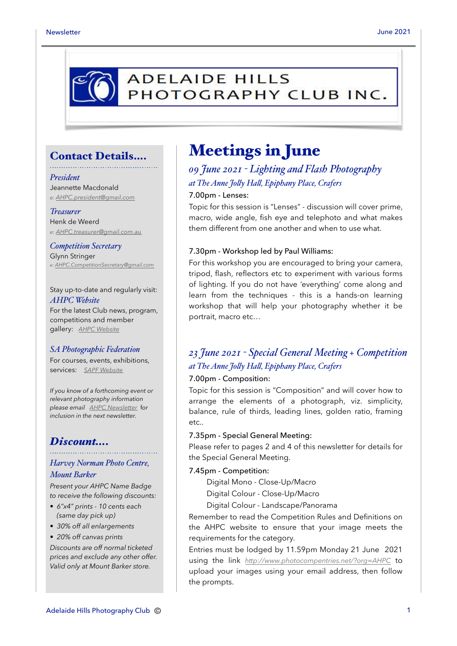# **ADELAIDE HILLS** PHOTOGRAPHY CLUB INC.

### Contact Details….

#### *President*

Jeannette Macdonald *e: [AHPC.president@gmail.com](mailto:AHPC.president@gmail.com)*

#### *Treasurer*

Henk de Weerd *e: [AHPC.treasurer@gmail.com.au](mailto:AHPC.treasurer@gmail.com.au)*

*Competition Secretary* Glynn Stringer *e: [AHPC.CompetitionSecretary@gmail.com](mailto:AHPC.CompetitionSecretary@gmail.com)*

Stay up-to-date and regularly visit: *AHPC Website* For the latest Club news, program, competitions and member gallery: *[AHPC Website](http://www.adelaidehillsphotographyclub.com.au)*

### *SA Photographic Federation*

For courses, events, exhibitions, services: *[SAPF Website](https://www.sapf.org.au)*

*If you know of a forthcoming event or relevant photography information please email [AHPC Newsletter](mailto:paulaphotoclick@gmail.com)* f*or inclusion in the next newsletter.* 

### *Discount….*

### *Harvey Norman Photo Centre, Mount Barker*

*Present your AHPC Name Badge to receive the following discounts:* 

- *6"x4" prints 10 cents each (same day pick up)*
- *30% off all enlargements*
- *20% off canvas prints*

*Discounts are off normal ticketed prices and exclude any other offer. Valid only at Mount Barker store.*

# Meetings in June

## *09 June 2021 - Lighting and Flash Photography at The Anne Jo"y Ha", Epiphany Place, Crafers*

### 7.00pm - Lenses:

Topic for this session is "Lenses" - discussion will cover prime, macro, wide angle, fish eye and telephoto and what makes them different from one another and when to use what.

### 7.30pm - Workshop led by Paul Williams:

For this workshop you are encouraged to bring your camera, tripod, flash, reflectors etc to experiment with various forms of lighting. If you do not have 'everything' come along and learn from the techniques - this is a hands-on learning workshop that will help your photography whether it be portrait, macro etc…

## *23 June 2021 - Special General Meeting + Competition at The Anne Jo"y Ha", Epiphany Place, Crafers*

### 7.00pm - Composition:

Topic for this session is "Composition" and will cover how to arrange the elements of a photograph, viz. simplicity, balance, rule of thirds, leading lines, golden ratio, framing etc..

### 7.35pm - Special General Meeting:

Please refer to pages 2 and 4 of this newsletter for details for the Special General Meeting.

### 7.45pm - Competition:

Digital Mono - Close-Up/Macro

- Digital Colour Close-Up/Macro
- Digital Colour Landscape/Panorama

Remember to read the Competition Rules and Definitions on the AHPC website to ensure that your image meets the requirements for the category.

Entries must be lodged by 11.59pm Monday 21 June 2021 using the link *<http://www.photocompentries.net/?org=AHPC>* to upload your images using your email address, then follow the prompts.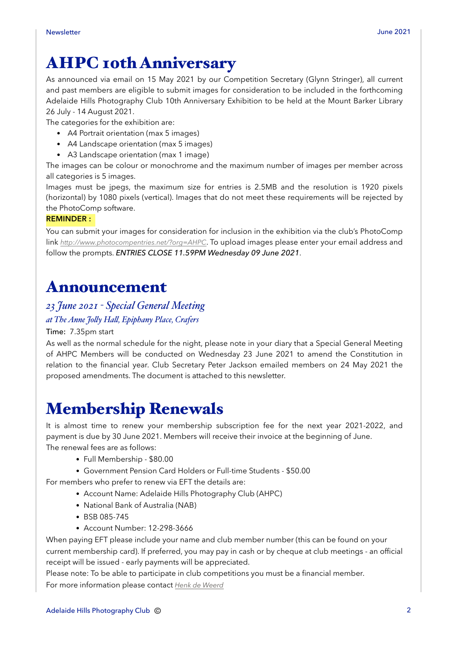# AHPC 10th Anniversary

As announced via email on 15 May 2021 by our Competition Secretary (Glynn Stringer), all current and past members are eligible to submit images for consideration to be included in the forthcoming Adelaide Hills Photography Club 10th Anniversary Exhibition to be held at the Mount Barker Library 26 July - 14 August 2021.

The categories for the exhibition are:

- A4 Portrait orientation (max 5 images)
- A4 Landscape orientation (max 5 images)
- A3 Landscape orientation (max 1 image)

The images can be colour or monochrome and the maximum number of images per member across all categories is 5 images.

Images must be jpegs, the maximum size for entries is 2.5MB and the resolution is 1920 pixels (horizontal) by 1080 pixels (vertical). Images that do not meet these requirements will be rejected by the PhotoComp software.

### **REMINDER :**

You can submit your images for consideration for inclusion in the exhibition via the club's PhotoComp link *<http://www.photocompentries.net/?org=AHPC>*. To upload images please enter your email address and follow the prompts. *ENTRIES CLOSE 11.59PM Wednesday 09 June 2021*.

## Announcement

## *23 June 2021 - Special General Meeting*

### *at The Anne Jo"y Ha", Epiphany Place, Crafers*

### Time: 7.35pm start

As well as the normal schedule for the night, please note in your diary that a Special General Meeting of AHPC Members will be conducted on Wednesday 23 June 2021 to amend the Constitution in relation to the financial year. Club Secretary Peter Jackson emailed members on 24 May 2021 the proposed amendments. The document is attached to this newsletter.

# Membership Renewals

It is almost time to renew your membership subscription fee for the next year 2021-2022, and payment is due by 30 June 2021. Members will receive their invoice at the beginning of June. The renewal fees are as follows:

- Full Membership \$80.00
- Government Pension Card Holders or Full-time Students \$50.00

For members who prefer to renew via EFT the details are:

- Account Name: Adelaide Hills Photography Club (AHPC)
- National Bank of Australia (NAB)
- BSB 085-745
- Account Number: 12-298-3666

When paying EFT please include your name and club member number (this can be found on your current membership card). If preferred, you may pay in cash or by cheque at club meetings - an official receipt will be issued - early payments will be appreciated.

Please note: To be able to participate in club competitions you must be a financial member. For more information please contact *[Henk de Weerd](mailto:AHPC.treasurer@gmail.com.au?subject=Membership%20Renewal)*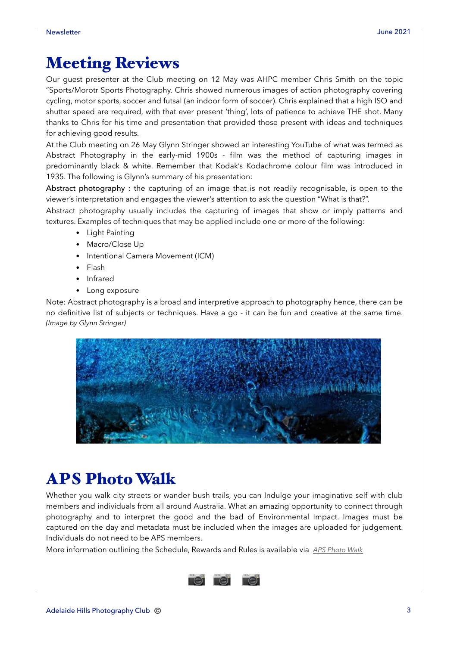# Meeting Reviews

Our guest presenter at the Club meeting on 12 May was AHPC member Chris Smith on the topic "Sports/Morotr Sports Photography. Chris showed numerous images of action photography covering cycling, motor sports, soccer and futsal (an indoor form of soccer). Chris explained that a high ISO and shutter speed are required, with that ever present 'thing', lots of patience to achieve THE shot. Many thanks to Chris for his time and presentation that provided those present with ideas and techniques for achieving good results.

At the Club meeting on 26 May Glynn Stringer showed an interesting YouTube of what was termed as Abstract Photography in the early-mid 1900s - film was the method of capturing images in predominantly black & white. Remember that Kodak's Kodachrome colour film was introduced in 1935. The following is Glynn's summary of his presentation:

Abstract photography : the capturing of an image that is not readily recognisable, is open to the viewer's interpretation and engages the viewer's attention to ask the question "What is that?".

Abstract photography usually includes the capturing of images that show or imply patterns and textures. Examples of techniques that may be applied include one or more of the following:

- Light Painting
- Macro/Close Up
- Intentional Camera Movement (ICM)
- Flash
- Infrared
- Long exposure

Note: Abstract photography is a broad and interpretive approach to photography hence, there can be no definitive list of subjects or techniques. Have a go - it can be fun and creative at the same time. *(Image by Glynn Stringer)*



# APS Photo Walk

Whether you walk city streets or wander bush trails, you can Indulge your imaginative self with club members and individuals from all around Australia. What an amazing opportunity to connect through photography and to interpret the good and the bad of Environmental Impact. Images must be captured on the day and metadata must be included when the images are uploaded for judgement. Individuals do not need to be APS members.

More information outlining the Schedule, Rewards and Rules is available via *[APS Photo Walk](https://www.a-p-s.org.au/index.php/events/photo-walk-day)*